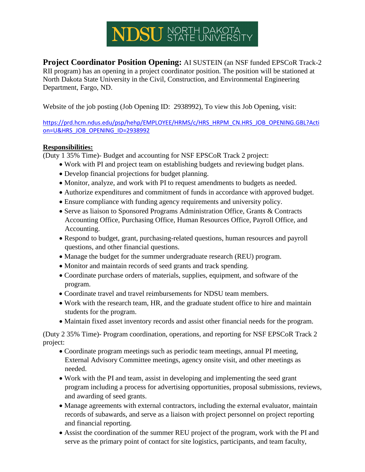# NDSU STATE UNIVERSITY

**Project Coordinator Position Opening:** AI SUSTEIN (an NSF funded EPSCoR Track-2 RII program) has an opening in a project coordinator position. The position will be stationed at North Dakota State University in the Civil, Construction, and Environmental Engineering Department, Fargo, ND.

Website of the job posting (Job Opening ID: 2938992), To view this Job Opening, visit:

[https://prd.hcm.ndus.edu/psp/hehp/EMPLOYEE/HRMS/c/HRS\\_HRPM\\_CN.HRS\\_JOB\\_OPENING.GBL?Acti](https://prd.hcm.ndus.edu/psp/hehp/EMPLOYEE/HRMS/c/HRS_HRPM_CN.HRS_JOB_OPENING.GBL?Action=U&HRS_JOB_OPENING_ID=2938992) [on=U&HRS\\_JOB\\_OPENING\\_ID=2938992](https://prd.hcm.ndus.edu/psp/hehp/EMPLOYEE/HRMS/c/HRS_HRPM_CN.HRS_JOB_OPENING.GBL?Action=U&HRS_JOB_OPENING_ID=2938992)

### **Responsibilities:**

(Duty 1 35% Time)- Budget and accounting for NSF EPSCoR Track 2 project:

- Work with PI and project team on establishing budgets and reviewing budget plans.
- Develop financial projections for budget planning.
- Monitor, analyze, and work with PI to request amendments to budgets as needed.
- Authorize expenditures and commitment of funds in accordance with approved budget.
- Ensure compliance with funding agency requirements and university policy.
- Serve as liaison to Sponsored Programs Administration Office, Grants & Contracts Accounting Office, Purchasing Office, Human Resources Office, Payroll Office, and Accounting.
- Respond to budget, grant, purchasing-related questions, human resources and payroll questions, and other financial questions.
- Manage the budget for the summer undergraduate research (REU) program.
- Monitor and maintain records of seed grants and track spending.
- Coordinate purchase orders of materials, supplies, equipment, and software of the program.
- Coordinate travel and travel reimbursements for NDSU team members.
- Work with the research team, HR, and the graduate student office to hire and maintain students for the program.
- Maintain fixed asset inventory records and assist other financial needs for the program.

(Duty 2 35% Time)- Program coordination, operations, and reporting for NSF EPSCoR Track 2 project:

- Coordinate program meetings such as periodic team meetings, annual PI meeting, External Advisory Committee meetings, agency onsite visit, and other meetings as needed.
- Work with the PI and team, assist in developing and implementing the seed grant program including a process for advertising opportunities, proposal submissions, reviews, and awarding of seed grants.
- Manage agreements with external contractors, including the external evaluator, maintain records of subawards, and serve as a liaison with project personnel on project reporting and financial reporting.
- Assist the coordination of the summer REU project of the program, work with the PI and serve as the primary point of contact for site logistics, participants, and team faculty,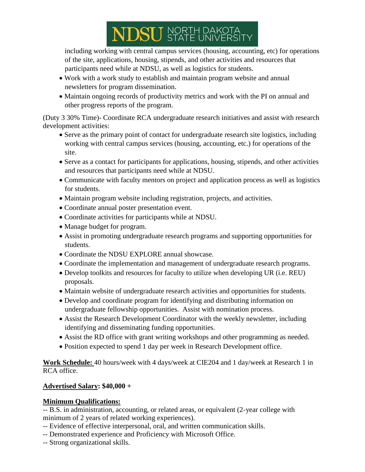# NDSU STATE UNIVERSIT

including working with central campus services (housing, accounting, etc) for operations of the site, applications, housing, stipends, and other activities and resources that participants need while at NDSU, as well as logistics for students.

- Work with a work study to establish and maintain program website and annual newsletters for program dissemination.
- Maintain ongoing records of productivity metrics and work with the PI on annual and other progress reports of the program.

(Duty 3 30% Time)- Coordinate RCA undergraduate research initiatives and assist with research development activities:

- Serve as the primary point of contact for undergraduate research site logistics, including working with central campus services (housing, accounting, etc.) for operations of the site.
- Serve as a contact for participants for applications, housing, stipends, and other activities and resources that participants need while at NDSU.
- Communicate with faculty mentors on project and application process as well as logistics for students.
- Maintain program website including registration, projects, and activities.
- Coordinate annual poster presentation event.
- Coordinate activities for participants while at NDSU.
- Manage budget for program.
- Assist in promoting undergraduate research programs and supporting opportunities for students.
- Coordinate the NDSU EXPLORE annual showcase.
- Coordinate the implementation and management of undergraduate research programs.
- Develop toolkits and resources for faculty to utilize when developing UR (i.e. REU) proposals.
- Maintain website of undergraduate research activities and opportunities for students.
- Develop and coordinate program for identifying and distributing information on undergraduate fellowship opportunities. Assist with nomination process.
- Assist the Research Development Coordinator with the weekly newsletter, including identifying and disseminating funding opportunities.
- Assist the RD office with grant writing workshops and other programming as needed.
- Position expected to spend 1 day per week in Research Development office.

**Work Schedule:** 40 hours/week with 4 days/week at CIE204 and 1 day/week at Research 1 in RCA office.

## **Advertised Salary: \$40,000 +**

## **Minimum Qualifications:**

-- B.S. in administration, accounting, or related areas, or equivalent (2-year college with minimum of 2 years of related working experiences).

- -- Evidence of effective interpersonal, oral, and written communication skills.
- -- Demonstrated experience and Proficiency with Microsoft Office.
- -- Strong organizational skills.